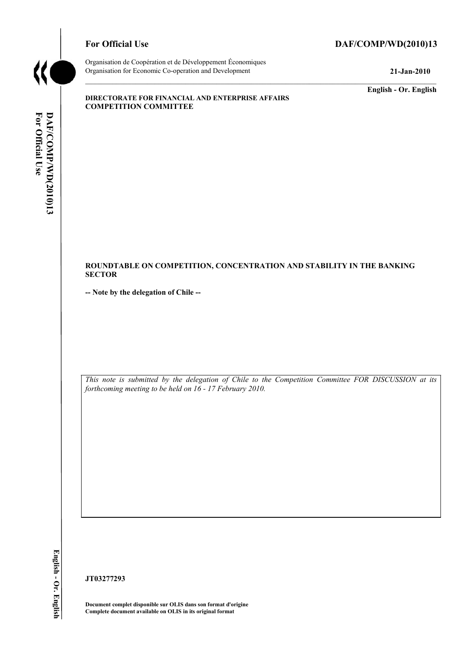

# For Official Use DAF/COMP/WD(2010)13

Organisation de Coopération et de Développement Économiques Organisation for Economic Co-operation and Development **21-Jan-2010** 

**English - Or. English** 

#### **DIRECTORATE FOR FINANCIAL AND ENTERPRISE AFFAIRS COMPETITION COMMITTEE**

## **ROUNDTABLE ON COMPETITION, CONCENTRATION AND STABILITY IN THE BANKING SECTOR**

**-- Note by the delegation of Chile --** 

*This note is submitted by the delegation of Chile to the Competition Committee FOR DISCUSSION at its forthcoming meeting to be held on 16 - 17 February 2010.* 

**JT03277293** 

**Document complet disponible sur OLIS dans son format d'origine Complete document available on OLIS in its original format**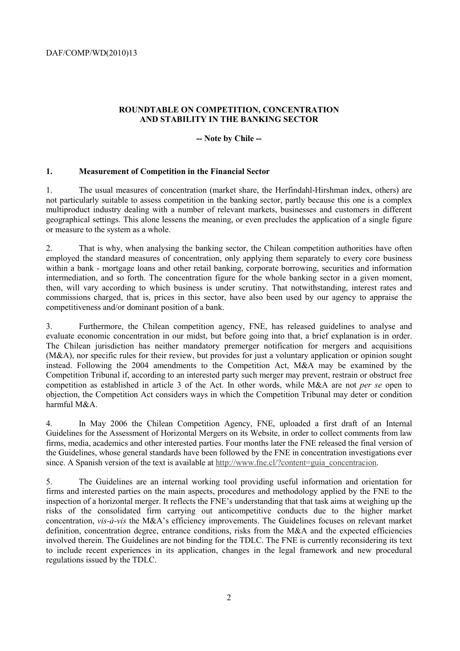## **ROUNDTABLE ON COMPETITION, CONCENTRATION AND STABILITY IN THE BANKING SECTOR**

**-- Note by Chile --** 

### **1. Measurement of Competition in the Financial Sector**

1. The usual measures of concentration (market share, the Herfindahl-Hirshman index, others) are not particularly suitable to assess competition in the banking sector, partly because this one is a complex multiproduct industry dealing with a number of relevant markets, businesses and customers in different geographical settings. This alone lessens the meaning, or even precludes the application of a single figure or measure to the system as a whole.

2. That is why, when analysing the banking sector, the Chilean competition authorities have often employed the standard measures of concentration, only applying them separately to every core business within a bank - mortgage loans and other retail banking, corporate borrowing, securities and information intermediation, and so forth. The concentration figure for the whole banking sector in a given moment, then, will vary according to which business is under scrutiny. That notwithstanding, interest rates and commissions charged, that is, prices in this sector, have also been used by our agency to appraise the competitiveness and/or dominant position of a bank.

3. Furthermore, the Chilean competition agency, FNE, has released guidelines to analyse and evaluate economic concentration in our midst, but before going into that, a brief explanation is in order. The Chilean jurisdiction has neither mandatory premerger notification for mergers and acquisitions (M&A), nor specific rules for their review, but provides for just a voluntary application or opinion sought instead. Following the 2004 amendments to the Competition Act, M&A may be examined by the Competition Tribunal if, according to an interested party such merger may prevent, restrain or obstruct free competition as established in article 3 of the Act. In other words, while M&A are not *per se* open to objection, the Competition Act considers ways in which the Competition Tribunal may deter or condition harmful M&A.

4. In May 2006 the Chilean Competition Agency, FNE, uploaded a first draft of an Internal Guidelines for the Assessment of Horizontal Mergers on its Website, in order to collect comments from law firms, media, academics and other interested parties. Four months later the FNE released the final version of the Guidelines, whose general standards have been followed by the FNE in concentration investigations ever since. A Spanish version of the text is available at http://www.fne.cl/?content=guia\_concentracion.

5. The Guidelines are an internal working tool providing useful information and orientation for firms and interested parties on the main aspects, procedures and methodology applied by the FNE to the inspection of a horizontal merger. It reflects the FNE's understanding that that task aims at weighing up the risks of the consolidated firm carrying out anticompetitive conducts due to the higher market concentration, *vis-à-vis* the M&A's efficiency improvements. The Guidelines focuses on relevant market definition, concentration degree, entrance conditions, risks from the M&A and the expected efficiencies involved therein. The Guidelines are not binding for the TDLC. The FNE is currently reconsidering its text to include recent experiences in its application, changes in the legal framework and new procedural regulations issued by the TDLC.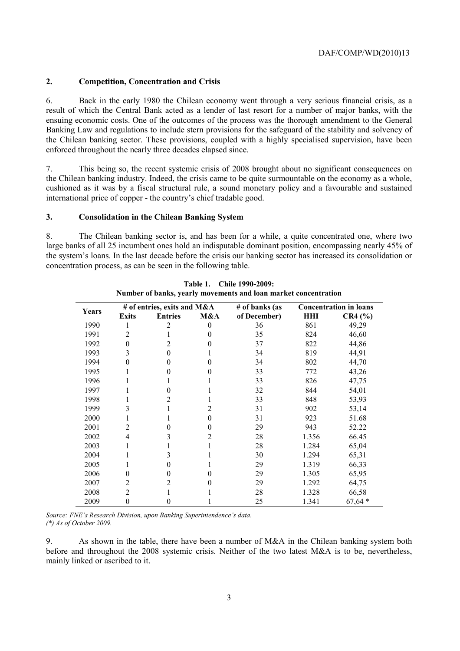### **2. Competition, Concentration and Crisis**

6. Back in the early 1980 the Chilean economy went through a very serious financial crisis, as a result of which the Central Bank acted as a lender of last resort for a number of major banks, with the ensuing economic costs. One of the outcomes of the process was the thorough amendment to the General Banking Law and regulations to include stern provisions for the safeguard of the stability and solvency of the Chilean banking sector. These provisions, coupled with a highly specialised supervision, have been enforced throughout the nearly three decades elapsed since.

7. This being so, the recent systemic crisis of 2008 brought about no significant consequences on the Chilean banking industry. Indeed, the crisis came to be quite surmountable on the economy as a whole, cushioned as it was by a fiscal structural rule, a sound monetary policy and a favourable and sustained international price of copper - the country's chief tradable good.

### **3. Consolidation in the Chilean Banking System**

8. The Chilean banking sector is, and has been for a while, a quite concentrated one, where two large banks of all 25 incumbent ones hold an indisputable dominant position, encompassing nearly 45% of the system's loans. In the last decade before the crisis our banking sector has increased its consolidation or concentration process, as can be seen in the following table.

| Years | # of entries, exits and M&A |                |          | # of banks (as | <b>Concentration in loans</b> |          |
|-------|-----------------------------|----------------|----------|----------------|-------------------------------|----------|
|       | <b>Exits</b>                | <b>Entries</b> | M&A      | of December)   | HНI                           | CR4 (%)  |
| 1990  |                             | 2              | $\theta$ | 36             | 861                           | 49,29    |
| 1991  | 2                           |                | $\theta$ | 35             | 824                           | 46,60    |
| 1992  | $\theta$                    | 2              | 0        | 37             | 822                           | 44,86    |
| 1993  | 3                           | 0              |          | 34             | 819                           | 44,91    |
| 1994  | 0                           | $\theta$       | 0        | 34             | 802                           | 44,70    |
| 1995  |                             | 0              | 0        | 33             | 772                           | 43,26    |
| 1996  |                             |                |          | 33             | 826                           | 47,75    |
| 1997  |                             | 0              |          | 32             | 844                           | 54,01    |
| 1998  |                             | 2              |          | 33             | 848                           | 53,93    |
| 1999  | 3                           |                | 2        | 31             | 902                           | 53,14    |
| 2000  |                             |                | $\theta$ | 31             | 923                           | 51.68    |
| 2001  | 2                           | 0              | $\theta$ | 29             | 943                           | 52.22    |
| 2002  | 4                           | 3              | 2        | 28             | 1.356                         | 66.45    |
| 2003  |                             |                |          | 28             | 1.284                         | 65,04    |
| 2004  |                             | 3              |          | 30             | 1.294                         | 65,31    |
| 2005  |                             | 0              |          | 29             | 1.319                         | 66,33    |
| 2006  | $\boldsymbol{0}$            | $\theta$       | $\theta$ | 29             | 1.305                         | 65,95    |
| 2007  | 2                           | 2              | 0        | 29             | 1.292                         | 64,75    |
| 2008  | 2                           |                |          | 28             | 1.328                         | 66,58    |
| 2009  | $\boldsymbol{0}$            | 0              |          | 25             | 1.341                         | $67,64*$ |

**Table 1. Chile 1990-2009: Number of banks, yearly movements and loan market concentration** 

*Source: FNE's Research Division, upon Banking Superintendence's data. (\*) As of October 2009.* 

9. As shown in the table, there have been a number of M&A in the Chilean banking system both before and throughout the 2008 systemic crisis. Neither of the two latest M&A is to be, nevertheless, mainly linked or ascribed to it.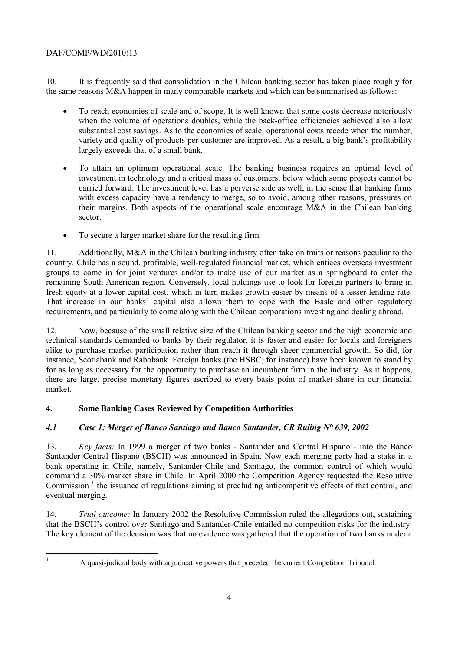# DAF/COMP/WD(2010)13

10. It is frequently said that consolidation in the Chilean banking sector has taken place roughly for the same reasons M&A happen in many comparable markets and which can be summarised as follows:

- To reach economies of scale and of scope. It is well known that some costs decrease notoriously when the volume of operations doubles, while the back-office efficiencies achieved also allow substantial cost savings. As to the economies of scale, operational costs recede when the number, variety and quality of products per customer are improved. As a result, a big bank's profitability largely exceeds that of a small bank.
- To attain an optimum operational scale. The banking business requires an optimal level of investment in technology and a critical mass of customers, below which some projects cannot be carried forward. The investment level has a perverse side as well, in the sense that banking firms with excess capacity have a tendency to merge, so to avoid, among other reasons, pressures on their margins. Both aspects of the operational scale encourage M&A in the Chilean banking sector.
- To secure a larger market share for the resulting firm.

11. Additionally, M&A in the Chilean banking industry often take on traits or reasons peculiar to the country. Chile has a sound, profitable, well-regulated financial market, which entices overseas investment groups to come in for joint ventures and/or to make use of our market as a springboard to enter the remaining South American region. Conversely, local holdings use to look for foreign partners to bring in fresh equity at a lower capital cost, which in turn makes growth easier by means of a lesser lending rate. That increase in our banks' capital also allows them to cope with the Basle and other regulatory requirements, and particularly to come along with the Chilean corporations investing and dealing abroad.

12. Now, because of the small relative size of the Chilean banking sector and the high economic and technical standards demanded to banks by their regulator, it is faster and easier for locals and foreigners alike to purchase market participation rather than reach it through sheer commercial growth. So did, for instance, Scotiabank and Rabobank. Foreign banks (the HSBC, for instance) have been known to stand by for as long as necessary for the opportunity to purchase an incumbent firm in the industry. As it happens, there are large, precise monetary figures ascribed to every basis point of market share in our financial market.

# **4. Some Banking Cases Reviewed by Competition Authorities**

# *4.1 Case 1: Merger of Banco Santiago and Banco Santander, CR Ruling N° 639, 2002*

13. *Key facts:* In 1999 a merger of two banks - Santander and Central Hispano - into the Banco Santander Central Hispano (BSCH) was announced in Spain. Now each merging party had a stake in a bank operating in Chile, namely, Santander-Chile and Santiago, the common control of which would command a 30% market share in Chile. In April 2000 the Competition Agency requested the Resolutive Commission<sup>1</sup> the issuance of regulations aiming at precluding anticompetitive effects of that control, and eventual merging.

14. *Trial outcome:* In January 2002 the Resolutive Commission ruled the allegations out, sustaining that the BSCH's control over Santiago and Santander-Chile entailed no competition risks for the industry. The key element of the decision was that no evidence was gathered that the operation of two banks under a

|<br>|<br>|

A quasi-judicial body with adjudicative powers that preceded the current Competition Tribunal.